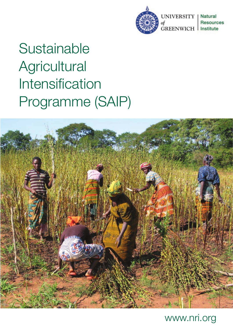

**UNIVERSITY Natural Resources GREENWICH** Institute

# **Sustainable Agricultural** Intensification Programme (SAIP)



# www.nri.org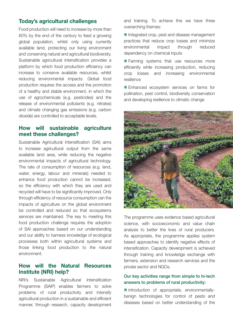# **Today's agricultural challenges**

Food production will need to increase by more than 60% by the end of the century to feed a growing global population, whilst only using currently available land, protecting our living environment and conserving natural and agricultural biodiversity. Sustainable agricultural intensification provides a platform by which food production efficiency can increase to conserve available resources, whilst reducing environmental impacts. Global food production requires the access and the promotion of a healthy and stable environment, in which the use of agrochemicals (e.g. pesticides) and the release of environmental pollutants (e.g. nitrates) and climate changing gas emissions (e.g. carbon dioxide) are controlled to acceptable levels.

# **How will sustainable agriculture meet these challenges?**

Sustainable Agricultural Intensification (SAI) aims to increase agricultural output from the same available land area, while reducing the negative environmental impacts of agricultural technology. The rate of consumption of resources (e.g. land, water, energy, labour and minerals) needed to enhance food production cannot be increased, so the efficiency with which they are used and recycled will have to be significantly improved. Only through efficiency of resource consumption can the impacts of agriculture on the global environment be controlled and reduced so that ecosystems services are maintained. The key to meeting this food production challenge requires the adoption of SAI approaches based on our understanding and our ability to harness knowledge of ecological processes both within agricultural systems and those linking food production to the natural environment.

# **How will the Natural Resources Institute (NRI) help?**

NRI's Sustainable Agricultural Intensification Programme (SAIP) enables farmers to solve problems of rural productivity and intensify agricultural production in a sustainable and efficient manner, through research, capacity development and training. To achieve this we have three overarching themes:

 $\blacksquare$  Integrated crop, pest and disease management practices that reduce crop losses and minimize environmental impact through reduced dependency on chemical inputs

■ Farming systems that use resources more efficiently while increasing production, reducing crop losses and increasing environmental resilience

Enhanced ecosystem services on farms for pollination, pest control, biodiversity conservation and developing resilience to climatic change



The programme uses evidence based agricultural science, with socioeconomic and value chain analysis to better the lives of rural producers. As appropriate, the programme applies system based approaches to identify negative effects of intensification. Capacity development is achieved through training and knowledge exchange with farmers, extension and research services and the private sector and NGOs.

# Our key activities range from simple to hi-tech answers to problems of rural productivity:

 $\blacksquare$  introduction of appropriate, environmentallybenign technologies for control of pests and diseases based on better understanding of the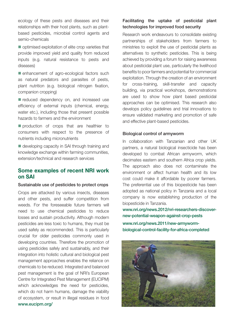ecology of these pests and diseases and their relationships with their host plants, such as plantbased pesticides, microbial control agents and semio-chemicals

 $\blacksquare$  optimised exploitation of elite crop varieties that provide improved yield and quality from reduced inputs (e.g. natural resistance to pests and diseases)

 $\blacksquare$  enhancement of agro-ecological factors such as natural predators and parasites of pests, plant nutrition (e.g. biological nitrogen fixation, companion cropping)

■ reduced dependency on, and increased use efficiency of external inputs (chemical, energy, water etc.), including those that present possible hazards to farmers and the environment

 $\blacksquare$  production of crops that are healthier to consumers with respect to the presence of nutrients including micronutrients

 $\blacksquare$  developing capacity in SAI through training and knowledge exchange within farming communities, extension/technical and research services

# **Some examples of recent NRI work on SAI**

#### Sustainable use of pesticides to protect crops

Crops are attacked by various insects, diseases and other pests, and suffer competition from weeds. For the foreseeable future farmers will need to use chemical pesticides to reduce losses and sustain productivity. Although modern pesticides are less toxic to humans, they must be used safely as recommended. This is particularly crucial for older pesticides commonly used in developing countries. Therefore the promotion of using pesticides safely and sustainably, and their integration into holistic cultural and biological pest management approaches enables the reliance on chemicals to be reduced. Integrated and balanced pest management is the goal of NRI's European Centre for Integrated Pest Management (EUCIPM) which acknowledges the need for pesticides, which do not harm humans, damage the viability of ecosystem, or result in illegal residues in food www.eucipm.org/

# Facilitating the uptake of pesticidal plant technologies for improved food security

Research work endeavours to consolidate existing partnerships of stakeholders from farmers to ministries to exploit the use of pesticidal plants as alternatives to synthetic pesticides. This is being achieved by providing a forum for raising awareness about pesticidal plant use, particularly the livelihood benefits to poor farmers and potential for commercial exploitation. Through the creation of an environment for cross-training, skill-transfer and capacity building, via practical workshops, demonstrations are used to show how plant based pesticidal approaches can be optimised. This research also develops policy guidelines and trial innovations to ensure validated marketing and promotion of safe and effective plant-based pesticides.

#### Biological control of armyworm

In collaboration with Tanzanian and other UK partners, a natural biological insecticide has been developed to combat African armyworm, which decimates eastern and southern Africa crop yields. The approach also does not contaminate the environment or affect human health and its low cost could make it affordable by poorer farmers. The preferential use of this biopesticide has been adopted as national policy in Tanzania and a local company is now establishing production of the biopesticide in Tanzania.

www.nri.org/news.2012/nri-researchers-discovernew-potential-weapon-against-crop-pests

www.nri.org/news.2011/new-armywormbiological-control-facility-for-africa-completed

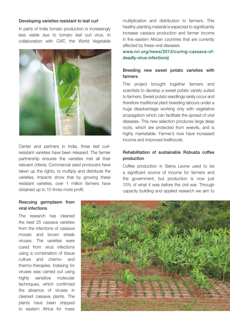#### Developing varieties resistant to leaf curl

In parts of India tomato production is increasingly less viable due to tomato leaf curl virus. In collaboration with CIAT, the World Vegetable



Center and partners in India, three leaf curlresistant varieties have been released. The farmer partnership ensures the varieties met all their relevant criteria. Commercial seed producers have taken up the rights, to multiply and distribute the varieties. Impacts show that by growing these resistant varieties, over 1 million farmers have obtained up to 10 times more profit.

multiplication and distribution to farmers. This healthy planting material is expected to significantly increase cassava production and farmer income in five eastern African countries that are currently affected by these viral diseases.

www.nri.org/news/2013/curing-cassava-ofdeadly-virus-infections)

# Breeding new sweet potato varieties with farmers

This project brought together farmers and scientists to develop a sweet potato variety suited to farmers. Sweet potato seedlings rarely occur and therefore traditional plant breeding labours under a huge disadvantage working only with vegetative propagation which can facilitate the spread of viral diseases. This new selection produces large deep roots, which are protected from weevils, and is highly marketable. Farmer's now have increased income and improved livelihoods.

# Rehabilitation of sustainable Robusta coffee production

Coffee production in Sierra Leone used to be a significant source of income for farmers and the government, but production is now just 10% of what it was before the civil war. Through capacity building and applied research we aim to

#### Rescuing germplasm from viral infections

The research has cleaned the best 25 cassava varieties from the infections of cassava mosaic and brown streak viruses. The varieties were cured from virus infections using a combination of tissue culture and chemo- and thermo-therapies. Indexing for viruses was carried out using highly sensitive molecular techniques, which confirmed the absence of viruses in cleaned cassava plants. The plants have been shipped to eastern Africa for mass

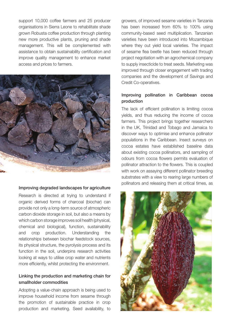support 10,000 coffee farmers and 25 producer organisations in Sierra Leone to rehabilitate shade grown Robusta coffee production through planting new more productive plants, pruning and shade management. This will be complemented with assistance to obtain sustainability certification and improve quality management to enhance market access and prices to farmers.



#### Improving degraded landscapes for agriculture

Research is directed at trying to understand if organic derived forms of charcoal (biochar) can provide not only a long-term source of atmospheric carbon dioxide storage in soil, but also a means by which carbon storage improves soil health (physical, chemical and biological), function, sustainability and crop production. Understanding the relationships between biochar feedstock sources, its physical structure, the pyrolysis process and its function in the soil, underpins research activities looking at ways to utilise crop water and nutrients more efficiently, whilst protecting the environment.

# Linking the production and marketing chain for smallholder commodities

Adopting a value-chain approach is being used to improve household income from sesame through the promotion of sustainable practice in crop production and marketing. Seed availability, to growers, of improved sesame varieties in Tanzania has been increased from 60% to 100% using community-based seed multiplication. Tanzanian varieties have been introduced into Mozambique where they out yield local varieties. The impact of sesame flea beetle has been reduced through project negotiation with an agrochemical company to supply insecticide to treat seeds. Marketing was improved through closer engagement with trading companies and the development of Savings and Credit Co-operatives.

## Improving pollination in Caribbean cocoa production

The lack of efficient pollination is limiting cocoa yields, and thus reducing the income of cocoa farmers. This project brings together researchers in the UK, Trinidad and Tobago and Jamaica to discover ways to optimise and enhance pollinator populations in the Caribbean. Insect surveys on cocoa estates have established baseline data about existing cocoa pollinators, and sampling of odours from cocoa flowers permits evaluation of pollinator attraction to the flowers. This is coupled with work on assaying different pollinator breeding substrates with a view to rearing large numbers of pollinators and releasing them at critical times, as